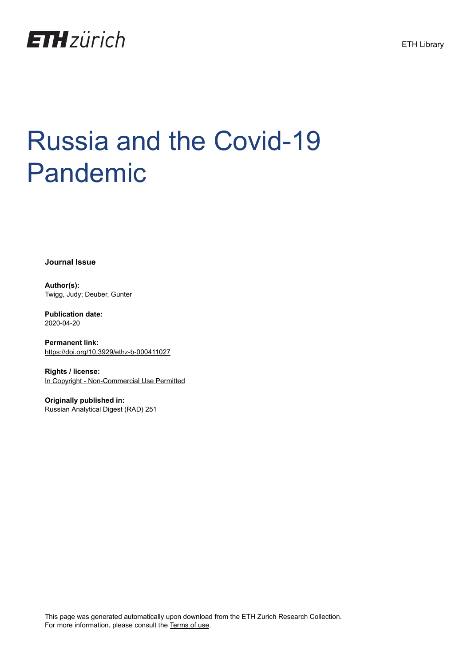

# Russia and the Covid-19 Pandemic

**Journal Issue**

**Author(s):** Twigg, Judy; Deuber, Gunter

**Publication date:** 2020-04-20

**Permanent link:** <https://doi.org/10.3929/ethz-b-000411027>

**Rights / license:** [In Copyright - Non-Commercial Use Permitted](http://rightsstatements.org/page/InC-NC/1.0/)

**Originally published in:** Russian Analytical Digest (RAD) 251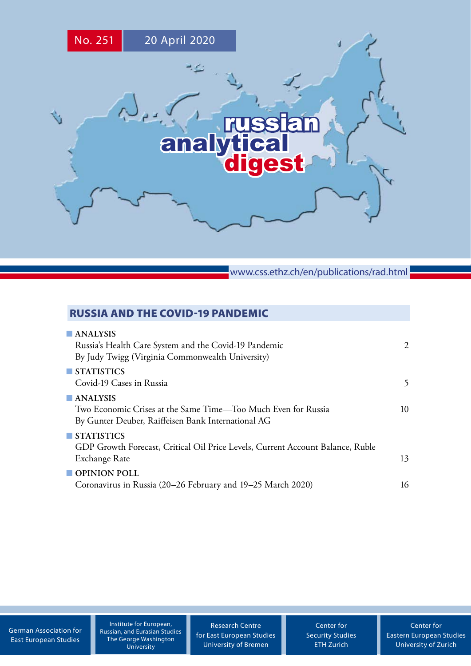

www.css.ethz.ch/en/publications/rad.html

# RUSSIA AND THE COVID-19 PANDEMIC

| 2  |
|----|
|    |
|    |
| 5  |
|    |
| 10 |
|    |
|    |
|    |
| 13 |
|    |
| 16 |
|    |

[German Association for](http://www.dgo-online.org/) [East European Studies](http://www.dgo-online.org/)

Institute for European, [Russian, and Eurasian Studies](https://ieres.elliott.gwu.edu) The George Washington University

[Research Centre](http://www.forschungsstelle.uni-bremen.de/) [for East European Studies](http://www.forschungsstelle.uni-bremen.de/) [University of Bremen](http://www.forschungsstelle.uni-bremen.de/)

[Center for](http://www.css.ethz.ch/) [Security Studies](http://www.css.ethz.ch/) [ETH Zurich](http://www.css.ethz.ch/)

[Center for](http://www.cees.uzh.ch/) [Eastern European Studies](http://www.cees.uzh.ch/) [University of Zurich](http://www.cees.uzh.ch/)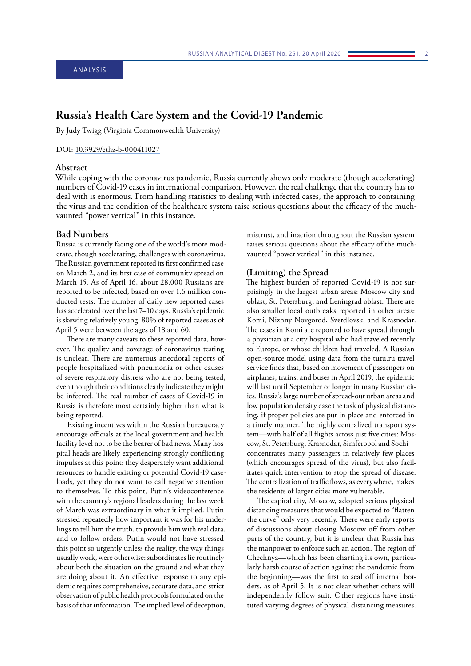# <span id="page-2-0"></span>**Russia's Health Care System and the Covid-19 Pandemic**

By Judy Twigg (Virginia Commonwealth University)

#### DOI: [10.3929/ethz-b-000411027](http://doi.org/10.3929/ethz-b-000411027)

## **Abstract**

While coping with the coronavirus pandemic, Russia currently shows only moderate (though accelerating) numbers of Covid-19 cases in international comparison. However, the real challenge that the country has to deal with is enormous. From handling statistics to dealing with infected cases, the approach to containing the virus and the condition of the healthcare system raise serious questions about the efficacy of the muchvaunted "power vertical" in this instance.

#### **Bad Numbers**

Russia is currently facing one of the world's more moderate, though accelerating, challenges with coronavirus. The Russian government reported its first confirmed case on March 2, and its first case of community spread on March 15. As of April 16, about 28,000 Russians are reported to be infected, based on over 1.6 million conducted tests. The number of daily new reported cases has accelerated over the last 7–10 days. Russia's epidemic is skewing relatively young: 80% of reported cases as of April 5 were between the ages of 18 and 60.

There are many caveats to these reported data, however. The quality and coverage of coronavirus testing is unclear. There are numerous anecdotal reports of people hospitalized with pneumonia or other causes of severe respiratory distress who are not being tested, even though their conditions clearly indicate they might be infected. The real number of cases of Covid-19 in Russia is therefore most certainly higher than what is being reported.

Existing incentives within the Russian bureaucracy encourage officials at the local government and health facility level not to be the bearer of bad news. Many hospital heads are likely experiencing strongly conflicting impulses at this point: they desperately want additional resources to handle existing or potential Covid-19 caseloads, yet they do not want to call negative attention to themselves. To this point, Putin's videoconference with the country's regional leaders during the last week of March was extraordinary in what it implied. Putin stressed repeatedly how important it was for his underlings to tell him the truth, to provide him with real data, and to follow orders. Putin would not have stressed this point so urgently unless the reality, the way things usually work, were otherwise: subordinates lie routinely about both the situation on the ground and what they are doing about it. An effective response to any epidemic requires comprehensive, accurate data, and strict observation of public health protocols formulated on the basis of that information. The implied level of deception,

mistrust, and inaction throughout the Russian system raises serious questions about the efficacy of the muchvaunted "power vertical" in this instance.

## **(Limiting) the Spread**

The highest burden of reported Covid-19 is not surprisingly in the largest urban areas: Moscow city and oblast, St. Petersburg, and Leningrad oblast. There are also smaller local outbreaks reported in other areas: Komi, Nizhny Novgorod, Sverdlovsk, and Krasnodar. The cases in Komi are reported to have spread through a physician at a city hospital who had traveled recently to Europe, or whose children had traveled. A Russian open-source model using data from the tutu.ru travel service finds that, based on movement of passengers on airplanes, trains, and buses in April 2019, the epidemic will last until September or longer in many Russian cities. Russia's large number of spread-out urban areas and low population density ease the task of physical distancing, if proper policies are put in place and enforced in a timely manner. The highly centralized transport system—with half of all flights across just five cities: Moscow, St. Petersburg, Krasnodar, Simferopol and Sochi concentrates many passengers in relatively few places (which encourages spread of the virus), but also facilitates quick intervention to stop the spread of disease. The centralization of traffic flows, as everywhere, makes the residents of larger cities more vulnerable.

The capital city, Moscow, adopted serious physical distancing measures that would be expected to "flatten the curve" only very recently. There were early reports of discussions about closing Moscow off from other parts of the country, but it is unclear that Russia has the manpower to enforce such an action. The region of Chechnya—which has been charting its own, particularly harsh course of action against the pandemic from the beginning—was the first to seal off internal borders, as of April 5. It is not clear whether others will independently follow suit. Other regions have instituted varying degrees of physical distancing measures.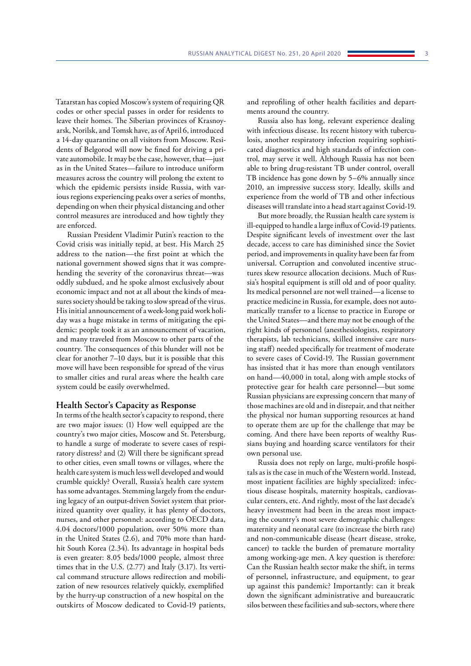Tatarstan has copied Moscow's system of requiring QR codes or other special passes in order for residents to leave their homes. The Siberian provinces of Krasnoyarsk, Norilsk, and Tomsk have, as of April 6, introduced a 14-day quarantine on all visitors from Moscow. Residents of Belgorod will now be fined for driving a private automobile. It may be the case, however, that—just as in the United States—failure to introduce uniform measures across the country will prolong the extent to which the epidemic persists inside Russia, with various regions experiencing peaks over a series of months, depending on when their physical distancing and other control measures are introduced and how tightly they are enforced.

Russian President Vladimir Putin's reaction to the Covid crisis was initially tepid, at best. His March 25 address to the nation—the first point at which the national government showed signs that it was comprehending the severity of the coronavirus threat—was oddly subdued, and he spoke almost exclusively about economic impact and not at all about the kinds of measures society should be taking to slow spread of the virus. His initial announcement of a week-long paid work holiday was a huge mistake in terms of mitigating the epidemic: people took it as an announcement of vacation, and many traveled from Moscow to other parts of the country. The consequences of this blunder will not be clear for another 7–10 days, but it is possible that this move will have been responsible for spread of the virus to smaller cities and rural areas where the health care system could be easily overwhelmed.

#### **Health Sector's Capacity as Response**

In terms of the health sector's capacity to respond, there are two major issues: (1) How well equipped are the country's two major cities, Moscow and St. Petersburg, to handle a surge of moderate to severe cases of respiratory distress? and (2) Will there be significant spread to other cities, even small towns or villages, where the health care system is much less well developed and would crumble quickly? Overall, Russia's health care system has some advantages. Stemming largely from the enduring legacy of an output-driven Soviet system that prioritized quantity over quality, it has plenty of doctors, nurses, and other personnel: according to OECD data, 4.04 doctors/1000 population, over 50% more than in the United States (2.6), and 70% more than hardhit South Korea (2.34). Its advantage in hospital beds is even greater: 8.05 beds/1000 people, almost three times that in the U.S. (2.77) and Italy (3.17). Its vertical command structure allows redirection and mobilization of new resources relatively quickly, exemplified by the hurry-up construction of a new hospital on the outskirts of Moscow dedicated to Covid-19 patients,

and reprofiling of other health facilities and departments around the country.

Russia also has long, relevant experience dealing with infectious disease. Its recent history with tuberculosis, another respiratory infection requiring sophisticated diagnostics and high standards of infection control, may serve it well. Although Russia has not been able to bring drug-resistant TB under control, overall TB incidence has gone down by 5–6% annually since 2010, an impressive success story. Ideally, skills and experience from the world of TB and other infectious diseases will translate into a head start against Covid-19.

But more broadly, the Russian health care system is ill-equipped to handle a large influx of Covid-19 patients. Despite significant levels of investment over the last decade, access to care has diminished since the Soviet period, and improvements in quality have been far from universal. Corruption and convoluted incentive structures skew resource allocation decisions. Much of Russia's hospital equipment is still old and of poor quality. Its medical personnel are not well trained—a license to practice medicine in Russia, for example, does not automatically transfer to a license to practice in Europe or the United States—and there may not be enough of the right kinds of personnel (anesthesiologists, respiratory therapists, lab technicians, skilled intensive care nursing staff) needed specifically for treatment of moderate to severe cases of Covid-19. The Russian government has insisted that it has more than enough ventilators on hand—40,000 in total, along with ample stocks of protective gear for health care personnel—but some Russian physicians are expressing concern that many of those machines are old and in disrepair, and that neither the physical nor human supporting resources at hand to operate them are up for the challenge that may be coming. And there have been reports of wealthy Russians buying and hoarding scarce ventilators for their own personal use.

Russia does not reply on large, multi-profile hospitals as is the case in much of the Western world. Instead, most inpatient facilities are highly specialized: infectious disease hospitals, maternity hospitals, cardiovascular centers, etc. And rightly, most of the last decade's heavy investment had been in the areas most impacting the country's most severe demographic challenges: maternity and neonatal care (to increase the birth rate) and non-communicable disease (heart disease, stroke, cancer) to tackle the burden of premature mortality among working-age men. A key question is therefore: Can the Russian health sector make the shift, in terms of personnel, infrastructure, and equipment, to gear up against this pandemic? Importantly: can it break down the significant administrative and bureaucratic silos between these facilities and sub-sectors, where there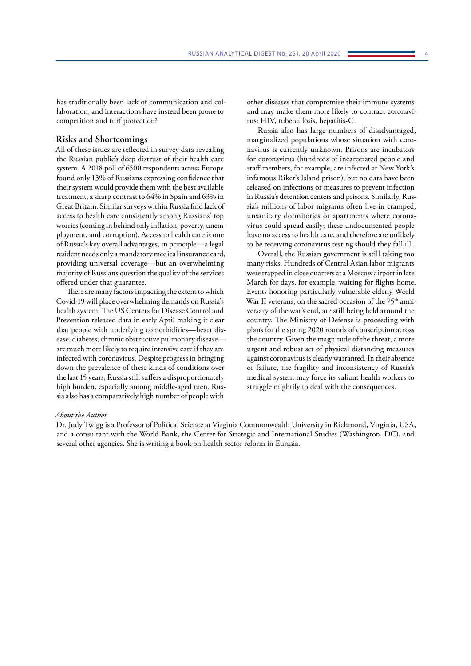has traditionally been lack of communication and collaboration, and interactions have instead been prone to competition and turf protection?

#### **Risks and Shortcomings**

All of these issues are reflected in survey data revealing the Russian public's deep distrust of their health care system. A 2018 poll of 6500 respondents across Europe found only 13% of Russians expressing confidence that their system would provide them with the best available treatment, a sharp contrast to 64% in Spain and 63% in Great Britain. Similar surveys within Russia find lack of access to health care consistently among Russians' top worries (coming in behind only inflation, poverty, unemployment, and corruption). Access to health care is one of Russia's key overall advantages, in principle—a legal resident needs only a mandatory medical insurance card, providing universal coverage—but an overwhelming majority of Russians question the quality of the services offered under that guarantee.

There are many factors impacting the extent to which Covid-19 will place overwhelming demands on Russia's health system. The US Centers for Disease Control and Prevention released data in early April making it clear that people with underlying comorbidities—heart disease, diabetes, chronic obstructive pulmonary disease are much more likely to require intensive care if they are infected with coronavirus. Despite progress in bringing down the prevalence of these kinds of conditions over the last 15 years, Russia still suffers a disproportionately high burden, especially among middle-aged men. Russia also has a comparatively high number of people with

other diseases that compromise their immune systems and may make them more likely to contract coronavirus: HIV, tuberculosis, hepatitis-C.

Russia also has large numbers of disadvantaged, marginalized populations whose situation with coronavirus is currently unknown. Prisons are incubators for coronavirus (hundreds of incarcerated people and staff members, for example, are infected at New York's infamous Riker's Island prison), but no data have been released on infections or measures to prevent infection in Russia's detention centers and prisons. Similarly, Russia's millions of labor migrants often live in cramped, unsanitary dormitories or apartments where coronavirus could spread easily; these undocumented people have no access to health care, and therefore are unlikely to be receiving coronavirus testing should they fall ill.

Overall, the Russian government is still taking too many risks. Hundreds of Central Asian labor migrants were trapped in close quarters at a Moscow airport in late March for days, for example, waiting for flights home. Events honoring particularly vulnerable elderly World War II veterans, on the sacred occasion of the 75<sup>th</sup> anniversary of the war's end, are still being held around the country. The Ministry of Defense is proceeding with plans for the spring 2020 rounds of conscription across the country. Given the magnitude of the threat, a more urgent and robust set of physical distancing measures against coronavirus is clearly warranted. In their absence or failure, the fragility and inconsistency of Russia's medical system may force its valiant health workers to struggle mightily to deal with the consequences.

#### *About the Author*

Dr. Judy Twigg is a Professor of Political Science at Virginia Commonwealth University in Richmond, Virginia, USA, and a consultant with the World Bank, the Center for Strategic and International Studies (Washington, DC), and several other agencies. She is writing a book on health sector reform in Eurasia.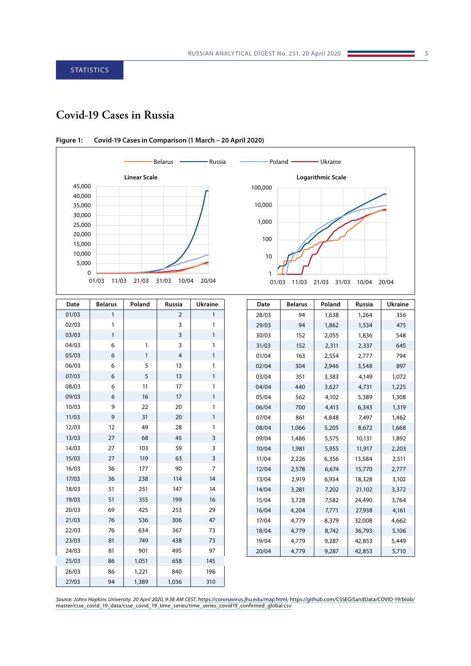# <span id="page-5-0"></span>**Covid-19 Cases in Russia**



| Date  | <b>Belarus</b> | Poland       | <b>Russia</b>                  | <b>Ukraine</b> |  |
|-------|----------------|--------------|--------------------------------|----------------|--|
| 01/03 | $\mathbf{1}$   |              | $\mathbf{1}$<br>$\overline{2}$ |                |  |
| 02/03 | $\mathbf{1}$   |              | 3                              | 1              |  |
| 03/03 | 1              |              | 3                              | $\mathbf{1}$   |  |
| 04/03 | 6              | 1            | 3                              | 1              |  |
| 05/03 | 6              | $\mathbf{1}$ | $\overline{4}$                 | $\mathbf{1}$   |  |
| 06/03 | 6              | 5            | 13                             | 1              |  |
| 07/03 | 6              | 5            | 13                             | 1              |  |
| 08/03 | 6              | 11           | 17                             | 1              |  |
| 09/03 | 6              | 16           | 17                             | $\mathbf{1}$   |  |
| 10/03 | 9              | 22           | 20                             | 1              |  |
| 11/03 | 9              | 31           | 20                             | 1              |  |
| 12/03 | 12             | 49           | 28                             | 1              |  |
| 13/03 | 27             | 68           | 45                             | 3              |  |
| 14/03 | 27             | 103          | 59                             | 3              |  |
| 15/03 | 27             | 119          | 63                             | 3              |  |
| 16/03 | 36             | 177          | 90                             | $\overline{7}$ |  |
| 17/03 | 36             | 238          | 114                            | 14             |  |
| 18/03 | 51             | 251          | 147                            | 14             |  |
| 19/03 | 51             | 355          | 199                            | 16             |  |
| 20/03 | 69             | 425          | 253                            | 29             |  |
| 21/03 | 76             | 536          | 306                            | 47             |  |
| 22/03 | 76             | 634          | 367                            | 73             |  |
| 23/03 | 81             | 749          | 438                            | 73             |  |
| 24/03 | 81             | 901          | 495                            | 97             |  |
| 25/03 | 86             | 1,051        | 658                            | 145            |  |
| 26/03 | 86             | 1,221        | 840                            | 196            |  |
| 27/03 | 94             | 1,389        | 1,036                          | 310            |  |

| Date  | <b>Belarus</b> | Poland | <b>Russia</b> | <b>Ukraine</b> |
|-------|----------------|--------|---------------|----------------|
| 28/03 | 94             | 1,638  | 1,264         | 356            |
| 29/03 | 94             | 1,862  | 1,534         | 475            |
| 30/03 | 152            | 2,055  | 1,836         | 548            |
| 31/03 | 152            | 2,311  | 2,337         | 645            |
| 01/04 | 163            | 2,554  | 2,777         | 794            |
| 02/04 | 304            | 2,946  | 3,548         | 897            |
| 03/04 | 351            | 3,383  | 4,149         | 1,072          |
| 04/04 | 440            | 3,627  | 4,731         | 1,225          |
| 05/04 | 562            | 4,102  | 5,389         | 1,308          |
| 06/04 | 700            | 4,413  | 6,343         | 1,319          |
| 07/04 | 861            | 4,848  | 7,497         | 1,462          |
| 08/04 | 1,066          | 5,205  | 8,672         | 1,668          |
| 09/04 | 1,486          | 5,575  | 10,131        | 1,892          |
| 10/04 | 1,981          | 5,955  | 11,917        | 2,203          |
| 11/04 | 2,226          | 6,356  | 13,584        | 2,511          |
| 12/04 | 2,578          | 6,674  | 15,770        | 2,777          |
| 13/04 | 2,919          | 6,934  | 18,328        | 3,102          |
| 14/04 | 3,281          | 7,202  | 21,102        | 3,372          |
| 15/04 | 3,728          | 7,582  | 24,490        | 3,764          |
| 16/04 | 4,204          | 7,771  | 27,938        | 4,161          |
| 17/04 | 4,779          | 8,379  | 32,008        | 4,662          |
| 18/04 | 4,779          | 8,742  | 36,793        | 5,106          |
| 19/04 | 4,779          | 9,287  | 42,853        | 5,449          |
| 20/04 | 4,779          | 9,287  | 42,853        | 5,710          |

**Figure 1: Covid-19 Cases in Comparison (1 March – 20 April 2020)**

*Source: Johns Hopkins University. 20 April 2020, 9:38 AM CEST,* <https://coronavirus.jhu.edu/map.html>*;* [https://github.com/CSSEGISandData/COVID-19/blob/](https://github.com/CSSEGISandData/COVID-19/blob/master/csse_covid_19_data/csse_covid_19_time_series/time_series_covid19_confirmed_global.csv) [master/csse\\_covid\\_19\\_data/csse\\_covid\\_19\\_time\\_series/time\\_series\\_covid19\\_confirmed\\_global.csv](https://github.com/CSSEGISandData/COVID-19/blob/master/csse_covid_19_data/csse_covid_19_time_series/time_series_covid19_confirmed_global.csv)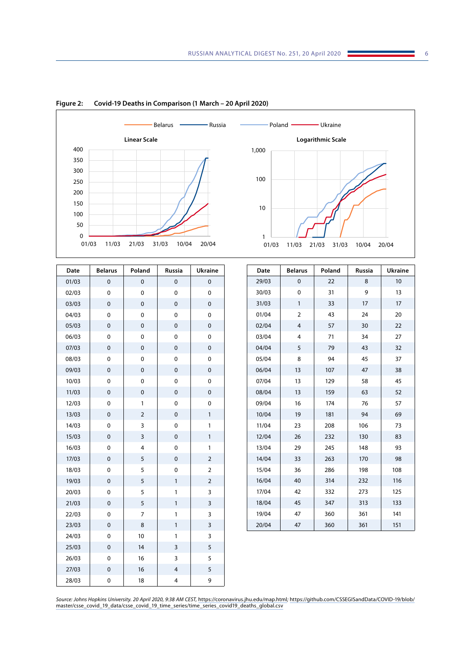

**Figure 2: Covid-19 Deaths in Comparison (1 March – 20 April 2020)**

| Date  | <b>Belarus</b> | Poland         | Russia       | <b>Ukraine</b> |  |
|-------|----------------|----------------|--------------|----------------|--|
| 01/03 | $\mathbf 0$    | 0              | 0            | $\mathbf 0$    |  |
| 02/03 | $\mathbf 0$    | 0              | 0            | 0              |  |
| 03/03 | $\mathbf 0$    | 0              | $\mathbf 0$  | $\mathbf 0$    |  |
| 04/03 | 0              | 0              | 0            | $\mathbf 0$    |  |
| 05/03 | $\mathbf 0$    | $\mathbf 0$    | $\mathbf 0$  | $\mathbf 0$    |  |
| 06/03 | $\mathbf 0$    | 0              | 0            | 0              |  |
| 07/03 | $\mathbf 0$    | $\mathbf 0$    | $\mathbf 0$  | $\mathbf 0$    |  |
| 08/03 | $\mathbf 0$    | 0              | 0            | $\mathbf 0$    |  |
| 09/03 | $\pmb{0}$      | 0              | $\pmb{0}$    | $\mathbf 0$    |  |
| 10/03 | $\mathbf 0$    | 0              | 0            | $\mathbf 0$    |  |
| 11/03 | $\pmb{0}$      | 0              | 0            | $\pmb{0}$      |  |
| 12/03 | $\mathbf 0$    | 1              | 0            | $\mathbf 0$    |  |
| 13/03 | $\mathbf 0$    | $\overline{2}$ | 0            | 1              |  |
| 14/03 | $\mathbf 0$    | 3              | 0            | 1              |  |
| 15/03 | $\mathbf 0$    | 3              | $\mathbf 0$  | $\mathbf{1}$   |  |
| 16/03 | $\mathbf 0$    | 4              | 0            | 1              |  |
| 17/03 | $\mathbf 0$    | 5              | $\mathbf 0$  | $\overline{2}$ |  |
| 18/03 | $\mathbf 0$    | 5              | 0            | $\overline{2}$ |  |
| 19/03 | $\mathbf 0$    | 5              | $\mathbf{1}$ | $\overline{2}$ |  |
| 20/03 | $\mathbf 0$    | 5              | 1            | 3              |  |
| 21/03 | $\mathbf 0$    | 5              | $\mathbf{1}$ | 3              |  |
| 22/03 | $\mathbf 0$    | 7              | $\mathbf{1}$ | 3              |  |
| 23/03 | $\mathbf 0$    | 8              | $\mathbf{1}$ | 3              |  |
| 24/03 | $\mathbf 0$    | 10             | $\mathbf{1}$ | 3              |  |
| 25/03 | $\mathbf 0$    | 14             | 3            | 5              |  |
| 26/03 | $\mathbf 0$    | 16             | 3            | 5              |  |
| 27/03 | $\mathbf 0$    | 16             | 4            | 5              |  |
| 28/03 | 0              | 18             | 4            | 9              |  |

| Date  | <b>Belarus</b> | Poland | Russia | <b>Ukraine</b> |
|-------|----------------|--------|--------|----------------|
| 29/03 | 0              | 22     | 8      | 10             |
| 30/03 | 0              | 31     | 9      | 13             |
| 31/03 | $\mathbf{1}$   | 33     | 17     | 17             |
| 01/04 | $\overline{2}$ | 43     | 24     | 20             |
| 02/04 | $\overline{4}$ | 57     | 30     | 22             |
| 03/04 | $\overline{4}$ | 71     | 34     | 27             |
| 04/04 | 5              | 79     | 43     | 32             |
| 05/04 | 8              | 94     | 45     | 37             |
| 06/04 | 13             | 107    | 47     | 38             |
| 07/04 | 13             | 129    | 58     | 45             |
| 08/04 | 13             | 159    | 63     | 52             |
| 09/04 | 16             | 174    | 76     | 57             |
| 10/04 | 19             | 181    | 94     | 69             |
| 11/04 | 23             | 208    | 106    | 73             |
| 12/04 | 26             | 232    | 130    | 83             |
| 13/04 | 29             | 245    | 148    | 93             |
| 14/04 | 33             | 263    | 170    | 98             |
| 15/04 | 36             | 286    | 198    | 108            |
| 16/04 | 40             | 314    | 232    | 116            |
| 17/04 | 42             | 332    | 273    | 125            |
| 18/04 | 45             | 347    | 313    | 133            |
| 19/04 | 47             | 360    | 361    | 141            |
| 20/04 | 47             | 360    | 361    | 151            |

*Source: Johns Hopkins University. 20 April 2020, 9:38 AM CEST,* <https://coronavirus.jhu.edu/map.html>*;* [https://github.com/CSSEGISandData/COVID-19/blob/](https://github.com/CSSEGISandData/COVID-19/blob/master/csse_covid_19_data/csse_covid_19_time_series/time_series_covid19_deaths_global.csv) [master/csse\\_covid\\_19\\_data/csse\\_covid\\_19\\_time\\_series/time\\_series\\_covid19\\_deaths\\_global.csv](https://github.com/CSSEGISandData/COVID-19/blob/master/csse_covid_19_data/csse_covid_19_time_series/time_series_covid19_deaths_global.csv)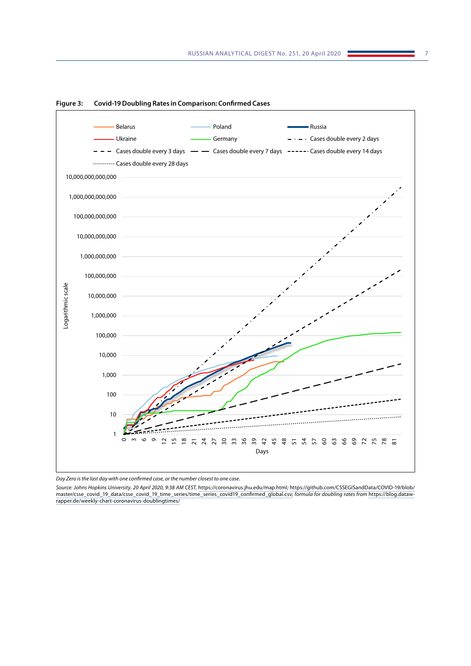

**Figure 3: Covid-19 Doubling Rates in Comparison: Confirmed Cases**

*Source: Johns Hopkins University. 20 April 2020, 9:38 AM CEST,* <https://coronavirus.jhu.edu/map.html>*;* [https://github.com/CSSEGISandData/COVID-19/blob/](https://github.com/CSSEGISandData/COVID-19/blob/master/csse_covid_19_data/csse_covid_19_time_series/time_series_covid19_confirmed_global.csv) [master/csse\\_covid\\_19\\_data/csse\\_covid\\_19\\_time\\_series/time\\_series\\_covid19\\_confirmed\\_global.csv](https://github.com/CSSEGISandData/COVID-19/blob/master/csse_covid_19_data/csse_covid_19_time_series/time_series_covid19_confirmed_global.csv)*; formula for doubling rates from* [https://blog.dataw](https://blog.datawrapper.de/weekly-chart-coronavirus-doublingtimes/)[rapper.de/weekly-chart-coronavirus-doublingtimes/](https://blog.datawrapper.de/weekly-chart-coronavirus-doublingtimes/)

*Day Zero is the last day with one confirmed case, or the number closest to one case.*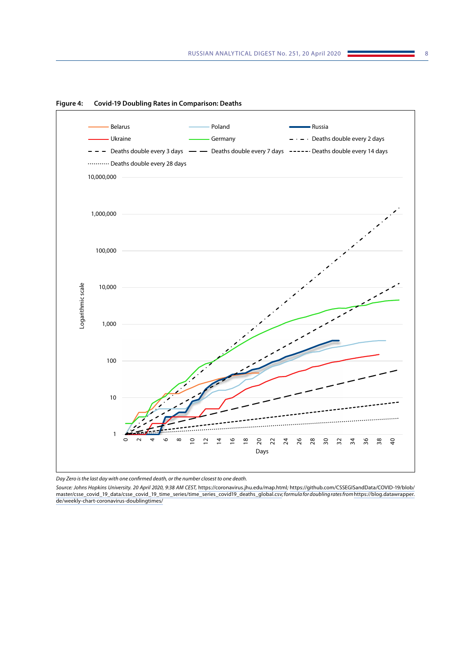

**Figure 4: Covid-19 Doubling Rates in Comparison: Deaths**

*Day Zero is the last day with one confirmed death, or the number closest to one death.*

*Source: Johns Hopkins University. 20 April 2020, 9:38 AM CEST,* <https://coronavirus.jhu.edu/map.html>*;* [https://github.com/CSSEGISandData/COVID-19/blob/](https://github.com/CSSEGISandData/COVID-19/blob/master/csse_covid_19_data/csse_covid_19_time_series/time_series_covid19_deaths_global.csv) [master/csse\\_covid\\_19\\_data/csse\\_covid\\_19\\_time\\_series/time\\_series\\_covid19\\_deaths\\_global.csv](https://github.com/CSSEGISandData/COVID-19/blob/master/csse_covid_19_data/csse_covid_19_time_series/time_series_covid19_deaths_global.csv)*; formula for doubling rates from* [https://blog.datawrapper.](https://blog.datawrapper.de/weekly-chart-coronavirus-doublingtimes/) [de/weekly-chart-coronavirus-doublingtimes/](https://blog.datawrapper.de/weekly-chart-coronavirus-doublingtimes/)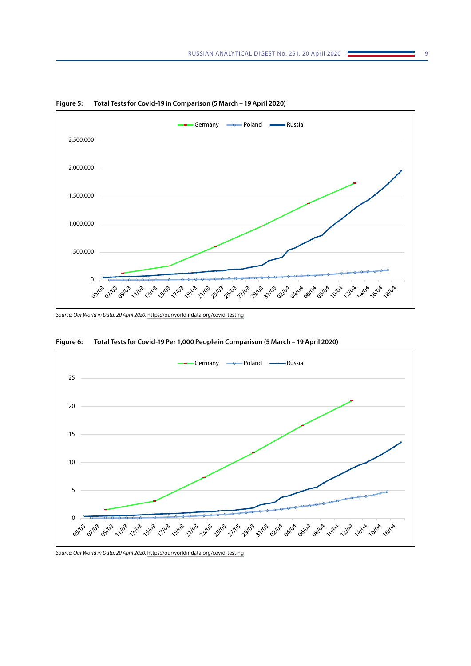

**Figure 5: Total Tests for Covid-19 in Comparison (5 March – 19 April 2020)**

*Source: Our World in Data, 20 April 2020,* <https://ourworldindata.org/covid-testing>



**Figure 6: Total Tests for Covid-19 Per 1,000 People in Comparison (5 March – 19 April 2020)**

*Source: Our World in Data, 20 April 2020,* <https://ourworldindata.org/covid-testing>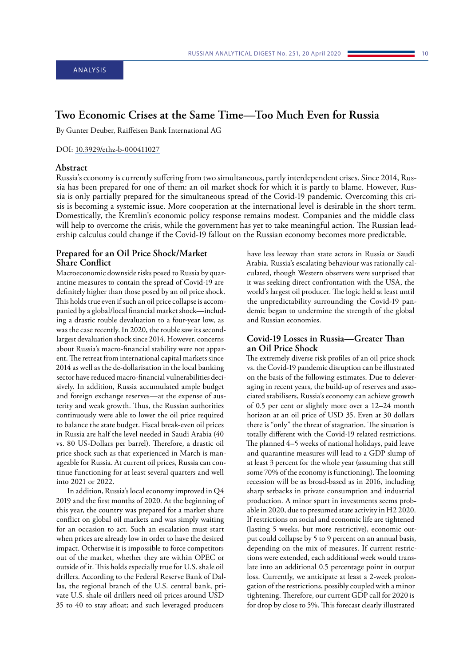# <span id="page-10-0"></span>**Two Economic Crises at the Same Time—Too Much Even for Russia**

By Gunter Deuber, Raiffeisen Bank International AG

#### DOI: [10.3929/ethz-b-000411027](http://doi.org/10.3929/ethz-b-000411027)

## **Abstract**

Russia's economy is currently suffering from two simultaneous, partly interdependent crises. Since 2014, Russia has been prepared for one of them: an oil market shock for which it is partly to blame. However, Russia is only partially prepared for the simultaneous spread of the Covid-19 pandemic. Overcoming this crisis is becoming a systemic issue. More cooperation at the international level is desirable in the short term. Domestically, the Kremlin's economic policy response remains modest. Companies and the middle class will help to overcome the crisis, while the government has yet to take meaningful action. The Russian leadership calculus could change if the Covid-19 fallout on the Russian economy becomes more predictable.

## **Prepared for an Oil Price Shock/Market Share Conflict**

Macroeconomic downside risks posed to Russia by quarantine measures to contain the spread of Covid-19 are definitely higher than those posed by an oil price shock. This holds true even if such an oil price collapse is accompanied by a global/local financial market shock—including a drastic rouble devaluation to a four-year low, as was the case recently. In 2020, the rouble saw its secondlargest devaluation shock since 2014. However, concerns about Russia's macro-financial stability were not apparent. The retreat from international capital markets since 2014 as well as the de-dollarisation in the local banking sector have reduced macro-financial vulnerabilities decisively. In addition, Russia accumulated ample budget and foreign exchange reserves—at the expense of austerity and weak growth. Thus, the Russian authorities continuously were able to lower the oil price required to balance the state budget. Fiscal break-even oil prices in Russia are half the level needed in Saudi Arabia (40 vs. 80 US-Dollars per barrel). Therefore, a drastic oil price shock such as that experienced in March is manageable for Russia. At current oil prices, Russia can continue functioning for at least several quarters and well into 2021 or 2022.

In addition, Russia's local economy improved in Q4 2019 and the first months of 2020. At the beginning of this year, the country was prepared for a market share conflict on global oil markets and was simply waiting for an occasion to act. Such an escalation must start when prices are already low in order to have the desired impact. Otherwise it is impossible to force competitors out of the market, whether they are within OPEC or outside of it. This holds especially true for U.S. shale oil drillers. According to the Federal Reserve Bank of Dallas, the regional branch of the U.S. central bank, private U.S. shale oil drillers need oil prices around USD 35 to 40 to stay afloat; and such leveraged producers

have less leeway than state actors in Russia or Saudi Arabia. Russia's escalating behaviour was rationally calculated, though Western observers were surprised that it was seeking direct confrontation with the USA, the world's largest oil producer. The logic held at least until the unpredictability surrounding the Covid-19 pandemic began to undermine the strength of the global and Russian economies.

# **Covid-19 Losses in Russia—Greater Than an Oil Price Shock**

The extremely diverse risk profiles of an oil price shock vs. the Covid-19 pandemic disruption can be illustrated on the basis of the following estimates. Due to deleveraging in recent years, the build-up of reserves and associated stabilisers, Russia's economy can achieve growth of 0.5 per cent or slightly more over a 12–24 month horizon at an oil price of USD 35. Even at 30 dollars there is "only" the threat of stagnation. The situation is totally different with the Covid-19 related restrictions. The planned 4–5 weeks of national holidays, paid leave and quarantine measures will lead to a GDP slump of at least 3 percent for the whole year (assuming that still some 70% of the economy is functioning). The looming recession will be as broad-based as in 2016, including sharp setbacks in private consumption and industrial production. A minor spurt in investments seems probable in 2020, due to presumed state activity in H2 2020. If restrictions on social and economic life are tightened (lasting 5 weeks, but more restrictive), economic output could collapse by 5 to 9 percent on an annual basis, depending on the mix of measures. If current restrictions were extended, each additional week would translate into an additional 0.5 percentage point in output loss. Currently, we anticipate at least a 2-week prolongation of the restrictions, possibly coupled with a minor tightening. Therefore, our current GDP call for 2020 is for drop by close to 5%. This forecast clearly illustrated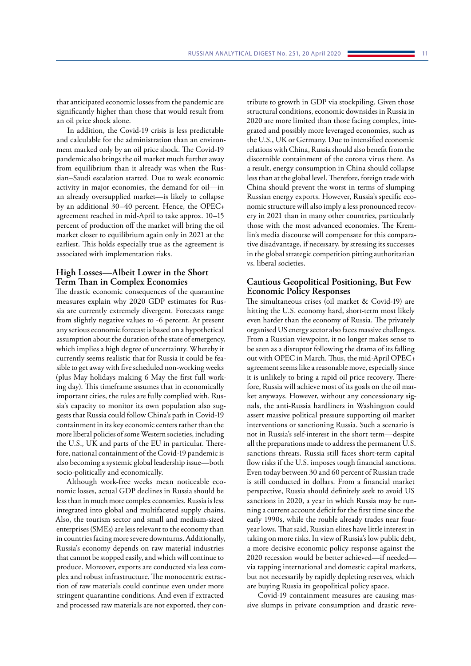that anticipated economic losses from the pandemic are significantly higher than those that would result from an oil price shock alone.

In addition, the Covid-19 crisis is less predictable and calculable for the administration than an environment marked only by an oil price shock. The Covid-19 pandemic also brings the oil market much further away from equilibrium than it already was when the Russian–Saudi escalation started. Due to weak economic activity in major economies, the demand for oil—in an already oversupplied market—is likely to collapse by an additional 30–40 percent. Hence, the OPEC+ agreement reached in mid-April to take approx. 10–15 percent of production off the market will bring the oil market closer to equilibrium again only in 2021 at the earliest. This holds especially true as the agreement is associated with implementation risks.

# **High Losses—Albeit Lower in the Short Term Than in Complex Economies**

The drastic economic consequences of the quarantine measures explain why 2020 GDP estimates for Russia are currently extremely divergent. Forecasts range from slightly negative values to -6 percent. At present any serious economic forecast is based on a hypothetical assumption about the duration of the state of emergency, which implies a high degree of uncertainty. Whereby it currently seems realistic that for Russia it could be feasible to get away with five scheduled non-working weeks (plus May holidays making 6 May the first full working day). This timeframe assumes that in economically important cities, the rules are fully complied with. Russia's capacity to monitor its own population also suggests that Russia could follow China's path in Covid-19 containment in its key economic centers rather than the more liberal policies of some Western societies, including the U.S., UK and parts of the EU in particular. Therefore, national containment of the Covid-19 pandemic is also becoming a systemic global leadership issue—both socio-politically and economically.

Although work-free weeks mean noticeable economic losses, actual GDP declines in Russia should be less than in much more complex economies. Russia is less integrated into global and multifaceted supply chains. Also, the tourism sector and small and medium-sized enterprises (SMEs) are less relevant to the economy than in countries facing more severe downturns. Additionally, Russia's economy depends on raw material industries that cannot be stopped easily, and which will continue to produce. Moreover, exports are conducted via less complex and robust infrastructure. The monocentric extraction of raw materials could continue even under more stringent quarantine conditions. And even if extracted and processed raw materials are not exported, they con-

tribute to growth in GDP via stockpiling. Given those structural conditions, economic downsides in Russia in 2020 are more limited than those facing complex, integrated and possibly more leveraged economies, such as the U.S., UK or Germany. Due to intensified economic relations with China, Russia should also benefit from the discernible containment of the corona virus there. As a result, energy consumption in China should collapse less than at the global level. Therefore, foreign trade with China should prevent the worst in terms of slumping Russian energy exports. However, Russia's specific economic structure will also imply a less pronounced recovery in 2021 than in many other countries, particularly those with the most advanced economies. The Kremlin's media discourse will compensate for this comparative disadvantage, if necessary, by stressing its successes in the global strategic competition pitting authoritarian vs. liberal societies.

## **Cautious Geopolitical Positioning, But Few Economic Policy Responses**

The simultaneous crises (oil market & Covid-19) are hitting the U.S. economy hard, short-term most likely even harder than the economy of Russia. The privately organised US energy sector also faces massive challenges. From a Russian viewpoint, it no longer makes sense to be seen as a disruptor following the drama of its falling out with OPEC in March. Thus, the mid-April OPEC+ agreement seems like a reasonable move, especially since it is unlikely to bring a rapid oil price recovery. Therefore, Russia will achieve most of its goals on the oil market anyways. However, without any concessionary signals, the anti-Russia hardliners in Washington could assert massive political pressure supporting oil market interventions or sanctioning Russia. Such a scenario is not in Russia's self-interest in the short term—despite all the preparations made to address the permanent U.S. sanctions threats. Russia still faces short-term capital flow risks if the U.S. imposes tough financial sanctions. Even today between 30 and 60 percent of Russian trade is still conducted in dollars. From a financial market perspective, Russia should definitely seek to avoid US sanctions in 2020, a year in which Russia may be running a current account deficit for the first time since the early 1990s, while the rouble already trades near fouryear lows. That said, Russian elites have little interest in taking on more risks. In view of Russia's low public debt, a more decisive economic policy response against the 2020 recession would be better achieved—if needed via tapping international and domestic capital markets, but not necessarily by rapidly depleting reserves, which are buying Russia its geopolitical policy space.

Covid-19 containment measures are causing massive slumps in private consumption and drastic reve-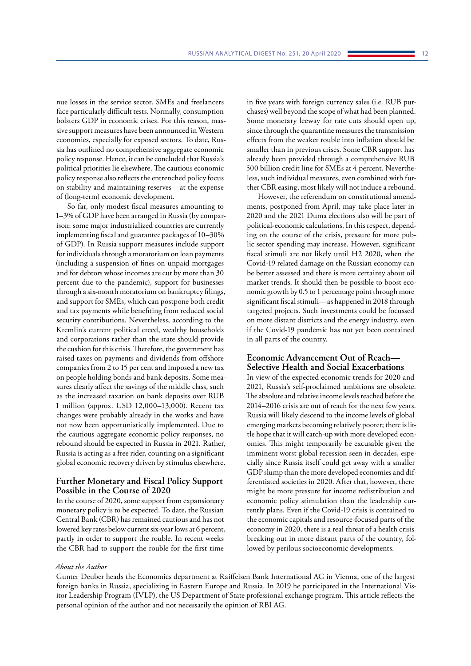nue losses in the service sector. SMEs and freelancers face particularly difficult tests. Normally, consumption bolsters GDP in economic crises. For this reason, massive support measures have been announced in Western economies, especially for exposed sectors. To date, Russia has outlined no comprehensive aggregate economic policy response. Hence, it can be concluded that Russia's political priorities lie elsewhere. The cautious economic policy response also reflects the entrenched policy focus on stability and maintaining reserves—at the expense of (long-term) economic development.

So far, only modest fiscal measures amounting to 1–3% of GDP have been arranged in Russia (by comparison: some major industrialized countries are currently implementing fiscal and guarantee packages of 10–30% of GDP). In Russia support measures include support for individuals through a moratorium on loan payments (including a suspension of fines on unpaid mortgages and for debtors whose incomes are cut by more than 30 percent due to the pandemic), support for businesses through a six-month moratorium on bankruptcy filings, and support for SMEs, which can postpone both credit and tax payments while benefiting from reduced social security contributions. Nevertheless, according to the Kremlin's current political creed, wealthy households and corporations rather than the state should provide the cushion for this crisis. Therefore, the government has raised taxes on payments and dividends from offshore companies from 2 to 15 per cent and imposed a new tax on people holding bonds and bank deposits. Some measures clearly affect the savings of the middle class, such as the increased taxation on bank deposits over RUB 1 million (approx. USD 12,000–13,000). Recent tax changes were probably already in the works and have not now been opportunistically implemented. Due to the cautious aggregate economic policy responses, no rebound should be expected in Russia in 2021. Rather, Russia is acting as a free rider, counting on a significant global economic recovery driven by stimulus elsewhere.

## **Further Monetary and Fiscal Policy Support Possible in the Course of 2020**

In the course of 2020, some support from expansionary monetary policy is to be expected. To date, the Russian Central Bank (CBR) has remained cautious and has not lowered key rates below current six-year lows at 6 percent, partly in order to support the rouble. In recent weeks the CBR had to support the rouble for the first time

in five years with foreign currency sales (i.e. RUB purchases) well beyond the scope of what had been planned. Some monetary leeway for rate cuts should open up, since through the quarantine measures the transmission effects from the weaker rouble into inflation should be smaller than in previous crises. Some CBR support has already been provided through a comprehensive RUB 500 billion credit line for SMEs at 4 percent. Nevertheless, such individual measures, even combined with further CBR easing, most likely will not induce a rebound.

However, the referendum on constitutional amendments, postponed from April, may take place later in 2020 and the 2021 Duma elections also will be part of political-economic calculations. In this respect, depending on the course of the crisis, pressure for more public sector spending may increase. However, significant fiscal stimuli are not likely until H2 2020, when the Covid-19 related damage on the Russian economy can be better assessed and there is more certainty about oil market trends. It should then be possible to boost economic growth by 0.5 to 1 percentage point through more significant fiscal stimuli—as happened in 2018 through targeted projects. Such investments could be focussed on more distant districts and the energy industry, even if the Covid-19 pandemic has not yet been contained in all parts of the country.

# **Economic Advancement Out of Reach— Selective Health and Social Exacerbations**

In view of the expected economic trends for 2020 and 2021, Russia's self-proclaimed ambitions are obsolete. The absolute and relative income levels reached before the 2014–2016 crisis are out of reach for the next few years. Russia will likely descend to the income levels of global emerging markets becoming relatively poorer; there is little hope that it will catch-up with more developed economies. This might temporarily be excusable given the imminent worst global recession seen in decades, especially since Russia itself could get away with a smaller GDP slump than the more developed economies and differentiated societies in 2020. After that, however, there might be more pressure for income redistribution and economic policy stimulation than the leadership currently plans. Even if the Covid-19 crisis is contained to the economic capitals and resource-focused parts of the economy in 2020, there is a real threat of a health crisis breaking out in more distant parts of the country, followed by perilous socioeconomic developments.

#### *About the Author*

Gunter Deuber heads the Economics department at Raiffeisen Bank International AG in Vienna, one of the largest foreign banks in Russia, specializing in Eastern Europe and Russia. In 2019 he participated in the International Visitor Leadership Program (IVLP), the US Department of State professional exchange program. This article reflects the personal opinion of the author and not necessarily the opinion of RBI AG.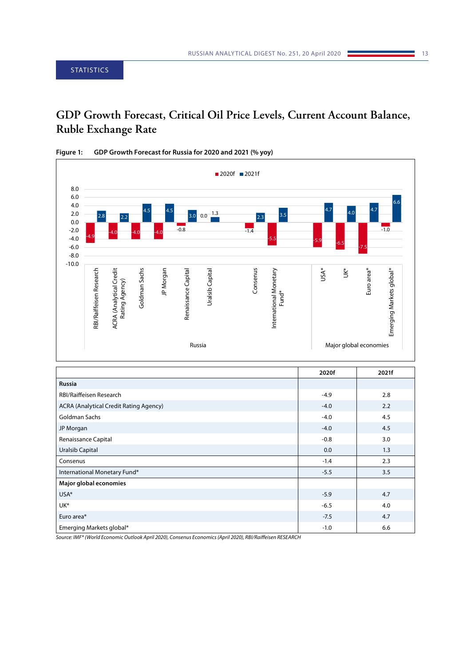# <span id="page-13-0"></span>**GDP Growth Forecast, Critical Oil Price Levels, Current Account Balance, Ruble Exchange Rate**



| Figure 1: | GDP Growth Forecast for Russia for 2020 and 2021 (% yoy) |
|-----------|----------------------------------------------------------|
|-----------|----------------------------------------------------------|

|                                        | 2020f  | 2021f |
|----------------------------------------|--------|-------|
| <b>Russia</b>                          |        |       |
| RBI/Raiffeisen Research                | $-4.9$ | 2.8   |
| ACRA (Analytical Credit Rating Agency) | $-4.0$ | 2.2   |
| <b>Goldman Sachs</b>                   | $-4.0$ | 4.5   |
| JP Morgan                              | $-4.0$ | 4.5   |
| Renaissance Capital                    | $-0.8$ | 3.0   |
| <b>Uralsib Capital</b>                 | 0.0    | 1.3   |
| Consenus                               | $-1.4$ | 2.3   |
| International Monetary Fund*           | $-5.5$ | 3.5   |
| Major global economies                 |        |       |
| USA*                                   | $-5.9$ | 4.7   |
| UK*                                    | $-6.5$ | 4.0   |
| Euro area*                             | $-7.5$ | 4.7   |
| Emerging Markets global*               | $-1.0$ | 6.6   |

*Source: IMF\* (World Economic Outlook April 2020), Consenus Economics (April 2020), RBI/Raiffeisen RESEARCH*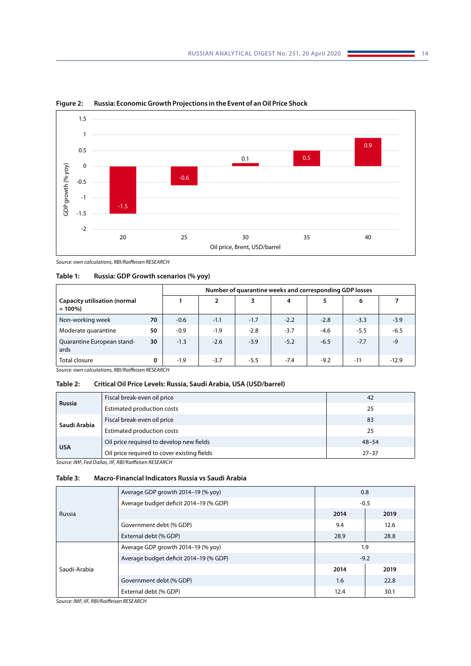

**Figure 2: Russia: Economic Growth Projections in the Event of an Oil Price Shock**

*Source: own calculations, RBI/Raiffeisen RESEARCH*

| Table 1: | Russia: GDP Growth scenarios (% yoy) |  |  |  |  |
|----------|--------------------------------------|--|--|--|--|
|----------|--------------------------------------|--|--|--|--|

|                                                  |    |        | Number of quarantine weeks and corresponding GDP losses |        |        |        |        |         |
|--------------------------------------------------|----|--------|---------------------------------------------------------|--------|--------|--------|--------|---------|
| <b>Capacity utilisation (normal</b><br>$= 100\%$ |    |        | $\overline{2}$                                          | 3      | 4      | 5      | 6      |         |
| Non-working week                                 | 70 | $-0.6$ | $-1.1$                                                  | $-1.7$ | $-2.2$ | $-2.8$ | $-3.3$ | $-3.9$  |
| Moderate quarantine                              | 50 | $-0.9$ | $-1.9$                                                  | $-2.8$ | $-3.7$ | $-4.6$ | $-5.5$ | $-6.5$  |
| Quarantine European stand-<br>ards               | 30 | $-1.3$ | $-2.6$                                                  | $-3.9$ | $-5.2$ | $-6.5$ | $-7.7$ | $-9$    |
| Total closure                                    | 0  | $-1.9$ | $-3.7$                                                  | $-5.5$ | $-7.4$ | $-9.2$ | $-11$  | $-12.9$ |

*Source: own calculations, RBI/Raiffeisen RESEARCH*

#### **Table 2: Critical Oil Price Levels: Russia, Saudi Arabia, USA (USD/barrel)**

| <b>Russia</b>                            | Fiscal break-even oil price                 | 42        |
|------------------------------------------|---------------------------------------------|-----------|
|                                          | Estimated production costs                  | 25        |
|                                          | Fiscal break-even oil price                 | 83        |
| Saudi Arabia                             | Estimated production costs                  | 25        |
| Oil price required to develop new fields |                                             | $48 - 54$ |
| <b>USA</b>                               | Oil price required to cover existing fields | $27 - 37$ |

*Source: IMF, Fed Dallas, IIF, RBI/Raiffeisen RESEARCH*

# **Table 3: Macro-Financial Indicators Russia vs Saudi Arabia**

|              | Average GDP growth 2014–19 (% yoy)     |        | 0.8    |
|--------------|----------------------------------------|--------|--------|
|              | Average budget deficit 2014-19 (% GDP) | $-0.5$ |        |
| Russia       |                                        | 2014   | 2019   |
|              | Government debt (% GDP)                | 9.4    | 12.6   |
|              | External debt (% GDP)                  | 28.9   | 28.8   |
| Saudi-Arabia | Average GDP growth 2014-19 (% yoy)     |        | 1.9    |
|              | Average budget deficit 2014-19 (% GDP) |        | $-9.2$ |
|              |                                        | 2014   | 2019   |
|              | Government debt (% GDP)                | 1.6    | 22.8   |
|              | External debt (% GDP)                  | 12.4   | 30.1   |

*Source: IMF, IIF, RBI/Raiffeisen RESEARCH*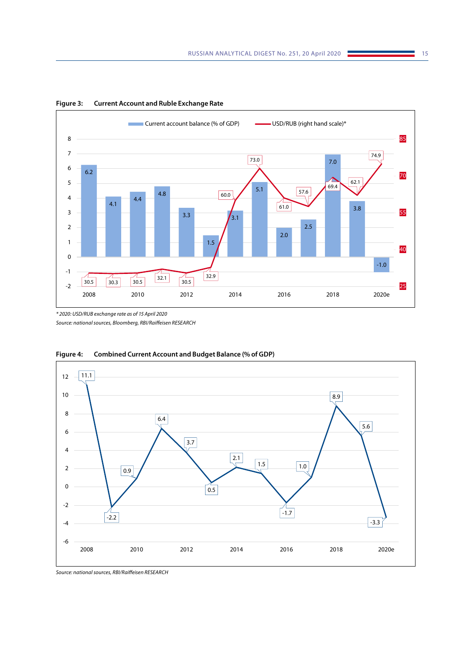

**Figure 3: Current Account and Ruble Exchange Rate**

*\* 2020: USD/RUB exchange rate as of 15 April 2020 Source: national sources, Bloomberg, RBI/Raiffeisen RESEARCH*



**Figure 4: Combined Current Account and Budget Balance (% of GDP)**

*Source: national sources, RBI/Raiffeisen RESEARCH*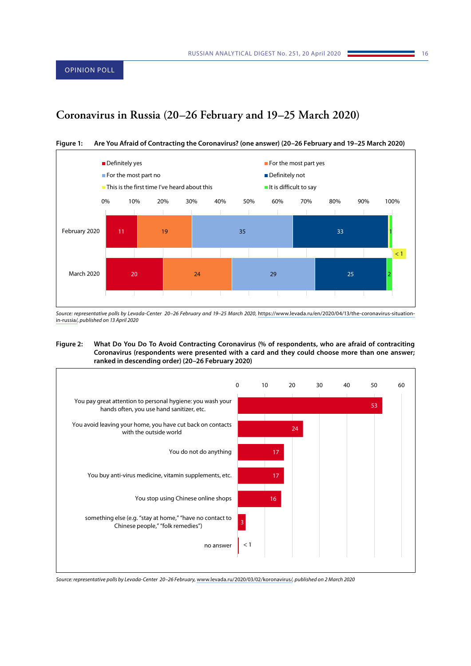# <span id="page-16-0"></span>**Coronavirus in Russia (20–26 February and 19–25 March 2020)**



**Figure 1: Are You Afraid of Contracting the Coronavirus? (one answer) (20–26 February and 19–25 March 2020)**

Source: representative polls by Levada-Center 20-26 February and 19-25 March 2020, [https://www.levada.ru/en/2020/04/13/the-coronavirus-situation](https://www.levada.ru/en/2020/04/13/the-coronavirus-situation-in-russia/)[in-russia/](https://www.levada.ru/en/2020/04/13/the-coronavirus-situation-in-russia/)*, published on 13 April 2020*

#### **Figure 2: What Do You Do To Avoid Contracting Coronavirus (% of respondents, who are afraid of contraciting Coronavirus (respondents were presented with a card and they could choose more than one answer; ranked in descending order) (20–26 February 2020)**



*Source: representative polls by Levada-Center 20–26 February,* [www.levada.ru/2020/03/02/koronavirus/](http://www.levada.ru/2020/03/02/koronavirus/)*, published on 2 March 2020*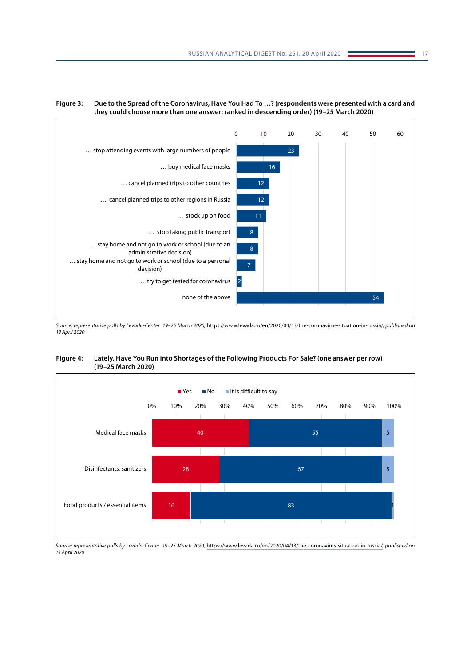



Source: representative polls by Levada-Center 19-25 March 2020, <https://www.levada.ru/en/2020/04/13/the-coronavirus-situation-in-russia/>, published on *13 April 2020*

**Figure 4: Lately, Have You Run into Shortages of the Following Products For Sale? (one answer per row) (19–25 March 2020)**



*Source: representative polls by Levada-Center 19–25 March 2020,* <https://www.levada.ru/en/2020/04/13/the-coronavirus-situation-in-russia/>*, published on 13 April 2020*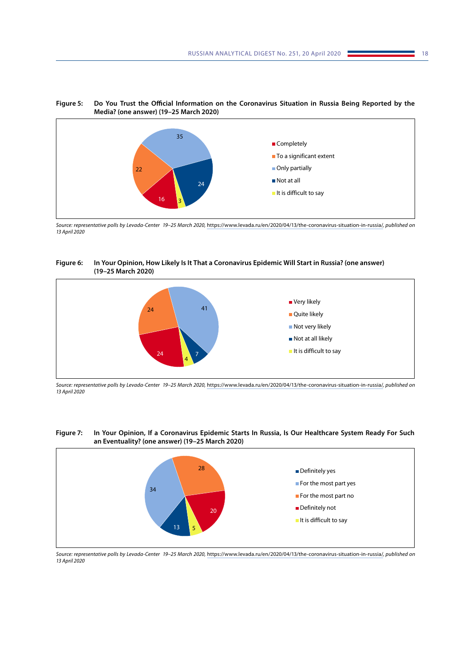



*Source: representative polls by Levada-Center 19–25 March 2020,* <https://www.levada.ru/en/2020/04/13/the-coronavirus-situation-in-russia/>*, published on 13 April 2020*

#### **Figure 6: In Your Opinion, How Likely Is It That a Coronavirus Epidemic Will Start in Russia? (one answer) (19–25 March 2020)**



*Source: representative polls by Levada-Center 19–25 March 2020,* <https://www.levada.ru/en/2020/04/13/the-coronavirus-situation-in-russia/>*, published on 13 April 2020*





*Source: representative polls by Levada-Center 19–25 March 2020,* <https://www.levada.ru/en/2020/04/13/the-coronavirus-situation-in-russia/>*, published on 13 April 2020*